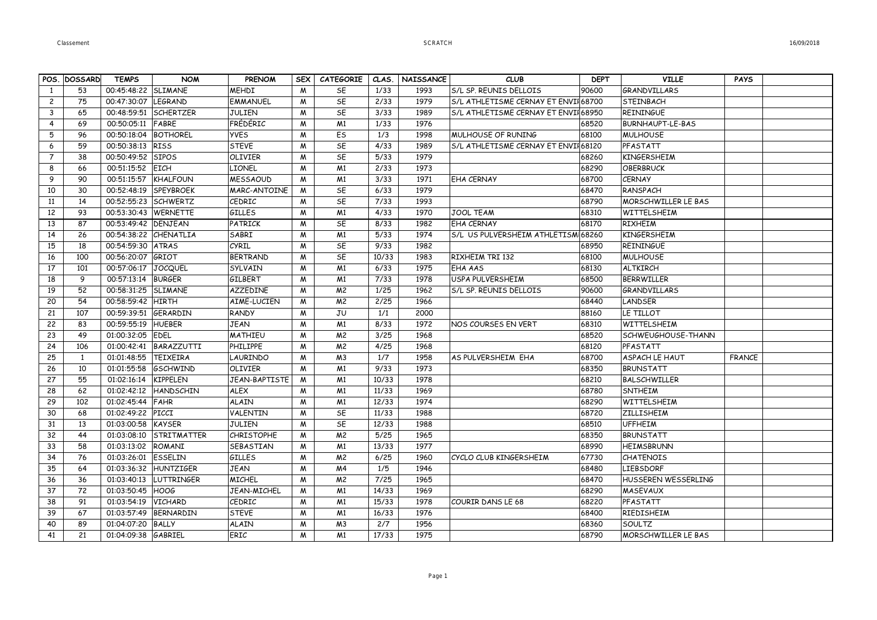| POS. DOSSARD<br><b>SLIMANE</b><br><b>MEHDI</b><br>1/33<br>90600<br>53<br>00:45:48:22<br>M<br>SE<br>S/L SP. REUNIS DELLOIS<br><b>GRANDVILLARS</b><br>1<br>1993<br><b>EMMANUEL</b><br>SE<br>S/L ATHLETISME CERNAY ET ENVIL68700<br>$\mathbf{2}$<br>75<br>00:47:30:07<br><b>LEGRAND</b><br>2/33<br>1979<br><b>STEINBACH</b><br>W<br><b>SCHERTZER</b><br><b>JULIEN</b><br>SE<br>3/33<br>3<br>65<br>00:48:59:51<br>M<br>1989<br>S/L ATHLETISME CERNAY ET ENVII68950<br><b>REININGUE</b><br>FRÉDÉRIC<br>1/33<br>1976<br>69<br>00:50:05:11<br>FABRE<br>M <sub>1</sub><br>68520<br><b>BURNHAUPT-LE-BAS</b><br>4<br>W<br>5<br><b>BOTHOREL</b><br><b>YVES</b><br>Es<br>1/3<br>96<br>00:50:18:04<br>M<br>1998<br>MULHOUSE OF RUNING<br>68100<br><b>MULHOUSE</b><br>00:50:38:13<br><b>STEVE</b><br>SE<br>4/33<br>1989<br>S/L ATHLETISME CERNAY ET ENVII 68120<br>PFASTATT<br>6<br>59<br><b>RISS</b><br>M<br>38<br>00:50:49:52<br><b>SIPOS</b><br><b>OLIVIER</b><br>M<br>SE<br>5/33<br>1979<br>68260<br><b>KINGERSHEIM</b><br>$\overline{7}$<br>8<br>00:51:15:52<br><b>EICH</b><br>LIONEL<br>2/33<br>1973<br>66<br>M <sub>1</sub><br>68290<br><b>OBERBRUCK</b><br>M<br>9<br>90<br>00:51:15:57<br>KHALFOUN<br><b>MESSAOUD</b><br>M<br>M <sub>1</sub><br>3/33<br>1971<br>68700<br><b>CERNAY</b><br>EHA CERNAY<br>00:52:48:19<br>SPEYBROEK<br><b>MARC-ANTOINE</b><br><b>SE</b><br>6/33<br>1979<br>68470<br>RANSPACH<br>10<br>30<br>M<br>11<br>14<br>00:52:55:23<br><b>SCHWERTZ</b><br>CEDRIC<br>W<br>SE<br>7/33<br>1993<br>68790<br>MORSCHWILLER LE BAS<br>93<br>00:53:30:43<br><b>WERNETTE</b><br><b>GILLES</b><br>4/33<br>1970<br>68310<br>12<br>M <sub>1</sub><br>JOOL TEAM<br>WITTELSHEIM<br>M<br>87<br>DENJEAN<br>PATRICK<br>SE<br>8/33<br>1982<br><b>RIXHEIM</b><br>13<br>00:53:49:42<br>W<br><b>EHA CERNAY</b><br>68170<br>26<br>00:54:38:22<br>CHENATLIA<br>SABRI<br>M <sub>1</sub><br>5/33<br>1974<br>S/L US PULVERSHEIM ATHLETISM 68260<br><b>KINGERSHEIM</b><br>14<br>M<br>CYRIL<br>SE<br>9/33<br>1982<br>15<br>18<br>00:54:59:30<br><b>ATRAS</b><br>W<br>68950<br><b>REININGUE</b><br>GRIOT<br>SE<br>00:56:20:07<br><b>BERTRAND</b><br>10/33<br>1983<br>RIXHEIM TRI 132<br>68100<br><b>MULHOUSE</b><br>16<br>100<br>M<br><b>JOCQUEL</b><br>SYLVAIN<br>M <sub>1</sub><br>6/33<br>1975<br>17<br>101<br>00:57:06:17<br>W<br>EHA AAS<br>68130<br><b>ALTKIRCH</b><br>9<br>00:57:13:14<br><b>BURGER</b><br>GILBERT<br>7/33<br>1978<br>USPA PULVERSHEIM<br>68500<br><b>BFRRWILLFR</b><br>18<br>M<br>M <sub>1</sub><br>52<br>00:58:31:25<br><b>SLIMANE</b><br><b>AZZEDINE</b><br>1/25<br>1962<br>90600<br>19<br>W<br>M <sup>2</sup><br>S/L SP. REUNIS DELLOIS<br><b>GRANDVILLARS</b><br>2/25<br>54<br>00:58:59:42<br><b>HIRTH</b><br>AIMÉ-LUCIEN<br>M <sup>2</sup><br>1966<br>68440<br>20<br>W<br>LANDSER<br>21<br>107<br>00:59:39:51<br><b>GERARDIN</b><br><b>RANDY</b><br>M<br>JU<br>1/1<br>2000<br>88160<br>LE TILLOT<br><b>JEAN</b><br>8/33<br>1972<br>22<br>83<br>00:59:55:19<br><b>HUEBER</b><br>M<br>M <sub>1</sub><br>NOS COURSES EN VERT<br>68310<br>WITTELSHEIM<br>23<br>01:00:32:05<br><b>EDEL</b><br>MATHIEU<br>M <sup>2</sup><br>3/25<br>1968<br>68520<br>49<br>M<br>SCHWEUGHOUSE-THANN<br><b>PHILIPPE</b><br>4/25<br>24<br>106<br>01:00:42:41<br>BARAZZUTTI<br>M<br>M <sup>2</sup><br>1968<br>68120<br>PFASTATT<br>25<br>01:01:48:55<br><b>TEIXEIRA</b><br>LAURINDO<br>M <sub>3</sub><br>1/7<br>1958<br>68700<br><b>ASPACH LE HAUT</b><br>$\mathbf{1}$<br>M<br>AS PULVERSHEIM EHA<br><b>FRANCE</b><br><b>GSCHWIND</b><br><b>OLIVIER</b><br>9/33<br>26<br>10<br>01:01:55:58<br>M<br>M <sub>1</sub><br>1973<br>68350<br><b>BRUNSTATT</b><br>55<br>27<br>01:02:16:14<br><b>KIPPELEN</b><br><b>JEAN-BAPTISTE</b><br>W<br>M <sub>1</sub><br>10/33<br>1978<br>68210<br><b>BALSCHWILLER</b><br>01:02:42:12<br><b>ALEX</b><br>11/33<br>1969<br>28<br>62<br><b>HANDSCHIN</b><br>M<br>M <sub>1</sub><br>68780<br><b>SNTHEIM</b><br>FAHR<br><b>ALAIN</b><br>12/33<br>29<br>102<br>01:02:45:44<br>W<br>M <sub>1</sub><br>1974<br>68290<br>WITTELSHEIM<br>01:02:49:22<br>PICCI<br><b>VALENTIN</b><br><b>SE</b><br>11/33<br>68720<br>30<br>68<br>M<br>1988<br><b>ZILLISHEIM</b><br>SE<br>12/33<br>1988<br><b>UFFHEIM</b><br>31<br>13<br>01:03:00:58<br>KAYSER<br><b>JULIEN</b><br>68510<br>W<br>44<br>STRITMATTER<br><b>CHRISTOPHE</b><br>M <sup>2</sup><br>5/25<br>1965<br>68350<br><b>BRUNSTATT</b><br>32<br>01:03:08:10<br>M<br>58<br>M <sub>1</sub><br>13/33<br>1977<br>33<br>01:03:13:02<br>ROMANI<br>SEBASTIAN<br>M<br>68990<br><b>HEIMSBRUNN</b><br>ESSELIN<br><b>GILLES</b><br>6/25<br>CYCLO CLUB KINGERSHEIM<br>67730<br>34<br>76<br>01:03:26:01<br>M<br>M <sup>2</sup><br>1960<br><b>CHATENOIS</b><br><b>JEAN</b><br>1/5<br>1946<br>35<br>64<br>01:03:36:32<br><b>HUNTZIGER</b><br>M<br>M <sub>4</sub><br>68480<br><b>LIEBSDORF</b><br>36<br>01:03:40:13<br><b>LUTTRINGER</b><br><b>MICHEL</b><br>M <sup>2</sup><br>7/25<br>1965<br>68470<br>HUSSEREN WESSERLING<br>36<br>M<br>37<br>72<br>01:03:50:45<br><b>HOOG</b><br><b>JEAN-MICHEL</b><br>M <sub>1</sub><br>14/33<br>1969<br>68290<br>M<br><b>MASEVAUX</b><br>38<br>91<br>01:03:54:19<br><b>VICHARD</b><br>CEDRIC<br>15/33<br>1978<br>68220<br>PFASTATT<br>M<br>M <sub>1</sub><br>COURIR DANS LE 68<br>01:03:57:49<br>BERNARDIN<br><b>STEVE</b><br>16/33<br>1976<br>68400<br>39<br>67<br>M<br>M <sub>1</sub><br>RIEDISHEIM<br>40<br>89<br>01:04:07:20<br><b>BALLY</b><br><b>ALAIN</b><br>M<br>M <sub>3</sub><br>2/7<br>1956<br>68360<br>SOULTZ<br>GABRIEL |    |    |              |            |               |            |                  |       |                  |             |             |                            |             |  |
|--------------------------------------------------------------------------------------------------------------------------------------------------------------------------------------------------------------------------------------------------------------------------------------------------------------------------------------------------------------------------------------------------------------------------------------------------------------------------------------------------------------------------------------------------------------------------------------------------------------------------------------------------------------------------------------------------------------------------------------------------------------------------------------------------------------------------------------------------------------------------------------------------------------------------------------------------------------------------------------------------------------------------------------------------------------------------------------------------------------------------------------------------------------------------------------------------------------------------------------------------------------------------------------------------------------------------------------------------------------------------------------------------------------------------------------------------------------------------------------------------------------------------------------------------------------------------------------------------------------------------------------------------------------------------------------------------------------------------------------------------------------------------------------------------------------------------------------------------------------------------------------------------------------------------------------------------------------------------------------------------------------------------------------------------------------------------------------------------------------------------------------------------------------------------------------------------------------------------------------------------------------------------------------------------------------------------------------------------------------------------------------------------------------------------------------------------------------------------------------------------------------------------------------------------------------------------------------------------------------------------------------------------------------------------------------------------------------------------------------------------------------------------------------------------------------------------------------------------------------------------------------------------------------------------------------------------------------------------------------------------------------------------------------------------------------------------------------------------------------------------------------------------------------------------------------------------------------------------------------------------------------------------------------------------------------------------------------------------------------------------------------------------------------------------------------------------------------------------------------------------------------------------------------------------------------------------------------------------------------------------------------------------------------------------------------------------------------------------------------------------------------------------------------------------------------------------------------------------------------------------------------------------------------------------------------------------------------------------------------------------------------------------------------------------------------------------------------------------------------------------------------------------------------------------------------------------------------------------------------------------------------------------------------------------------------------------------------------------------------------------------------------------------------------------------------------------------------------------------------------------------------------------------------------------------------------------------------------------------------------------------------------------------------------------------------------------------------------------------------------------------------------------------------------------------------------------------------------------------------------------------------------------------------------------------------------------------------------------------------------------------------------------------------------------------------------------------------------------------------------------------------------------------------------------------------------------------------------------------------------------------------------------------------------------------------------------------------------------------------------------------------------------------------------------------------------------------------------------------------------------------------|----|----|--------------|------------|---------------|------------|------------------|-------|------------------|-------------|-------------|----------------------------|-------------|--|
|                                                                                                                                                                                                                                                                                                                                                                                                                                                                                                                                                                                                                                                                                                                                                                                                                                                                                                                                                                                                                                                                                                                                                                                                                                                                                                                                                                                                                                                                                                                                                                                                                                                                                                                                                                                                                                                                                                                                                                                                                                                                                                                                                                                                                                                                                                                                                                                                                                                                                                                                                                                                                                                                                                                                                                                                                                                                                                                                                                                                                                                                                                                                                                                                                                                                                                                                                                                                                                                                                                                                                                                                                                                                                                                                                                                                                                                                                                                                                                                                                                                                                                                                                                                                                                                                                                                                                                                                                                                                                                                                                                                                                                                                                                                                                                                                                                                                                                                                                                                                                                                                                                                                                                                                                                                                                                                                                                                                                                                                                                              |    |    | <b>TEMPS</b> | <b>NOM</b> | <b>PRENOM</b> | <b>SEX</b> | <b>CATEGORIE</b> | CLAS. | <b>NAISSANCE</b> | <b>CLUB</b> | <b>DEPT</b> | <b>VILLE</b>               | <b>PAYS</b> |  |
|                                                                                                                                                                                                                                                                                                                                                                                                                                                                                                                                                                                                                                                                                                                                                                                                                                                                                                                                                                                                                                                                                                                                                                                                                                                                                                                                                                                                                                                                                                                                                                                                                                                                                                                                                                                                                                                                                                                                                                                                                                                                                                                                                                                                                                                                                                                                                                                                                                                                                                                                                                                                                                                                                                                                                                                                                                                                                                                                                                                                                                                                                                                                                                                                                                                                                                                                                                                                                                                                                                                                                                                                                                                                                                                                                                                                                                                                                                                                                                                                                                                                                                                                                                                                                                                                                                                                                                                                                                                                                                                                                                                                                                                                                                                                                                                                                                                                                                                                                                                                                                                                                                                                                                                                                                                                                                                                                                                                                                                                                                              |    |    |              |            |               |            |                  |       |                  |             |             |                            |             |  |
|                                                                                                                                                                                                                                                                                                                                                                                                                                                                                                                                                                                                                                                                                                                                                                                                                                                                                                                                                                                                                                                                                                                                                                                                                                                                                                                                                                                                                                                                                                                                                                                                                                                                                                                                                                                                                                                                                                                                                                                                                                                                                                                                                                                                                                                                                                                                                                                                                                                                                                                                                                                                                                                                                                                                                                                                                                                                                                                                                                                                                                                                                                                                                                                                                                                                                                                                                                                                                                                                                                                                                                                                                                                                                                                                                                                                                                                                                                                                                                                                                                                                                                                                                                                                                                                                                                                                                                                                                                                                                                                                                                                                                                                                                                                                                                                                                                                                                                                                                                                                                                                                                                                                                                                                                                                                                                                                                                                                                                                                                                              |    |    |              |            |               |            |                  |       |                  |             |             |                            |             |  |
|                                                                                                                                                                                                                                                                                                                                                                                                                                                                                                                                                                                                                                                                                                                                                                                                                                                                                                                                                                                                                                                                                                                                                                                                                                                                                                                                                                                                                                                                                                                                                                                                                                                                                                                                                                                                                                                                                                                                                                                                                                                                                                                                                                                                                                                                                                                                                                                                                                                                                                                                                                                                                                                                                                                                                                                                                                                                                                                                                                                                                                                                                                                                                                                                                                                                                                                                                                                                                                                                                                                                                                                                                                                                                                                                                                                                                                                                                                                                                                                                                                                                                                                                                                                                                                                                                                                                                                                                                                                                                                                                                                                                                                                                                                                                                                                                                                                                                                                                                                                                                                                                                                                                                                                                                                                                                                                                                                                                                                                                                                              |    |    |              |            |               |            |                  |       |                  |             |             |                            |             |  |
|                                                                                                                                                                                                                                                                                                                                                                                                                                                                                                                                                                                                                                                                                                                                                                                                                                                                                                                                                                                                                                                                                                                                                                                                                                                                                                                                                                                                                                                                                                                                                                                                                                                                                                                                                                                                                                                                                                                                                                                                                                                                                                                                                                                                                                                                                                                                                                                                                                                                                                                                                                                                                                                                                                                                                                                                                                                                                                                                                                                                                                                                                                                                                                                                                                                                                                                                                                                                                                                                                                                                                                                                                                                                                                                                                                                                                                                                                                                                                                                                                                                                                                                                                                                                                                                                                                                                                                                                                                                                                                                                                                                                                                                                                                                                                                                                                                                                                                                                                                                                                                                                                                                                                                                                                                                                                                                                                                                                                                                                                                              |    |    |              |            |               |            |                  |       |                  |             |             |                            |             |  |
|                                                                                                                                                                                                                                                                                                                                                                                                                                                                                                                                                                                                                                                                                                                                                                                                                                                                                                                                                                                                                                                                                                                                                                                                                                                                                                                                                                                                                                                                                                                                                                                                                                                                                                                                                                                                                                                                                                                                                                                                                                                                                                                                                                                                                                                                                                                                                                                                                                                                                                                                                                                                                                                                                                                                                                                                                                                                                                                                                                                                                                                                                                                                                                                                                                                                                                                                                                                                                                                                                                                                                                                                                                                                                                                                                                                                                                                                                                                                                                                                                                                                                                                                                                                                                                                                                                                                                                                                                                                                                                                                                                                                                                                                                                                                                                                                                                                                                                                                                                                                                                                                                                                                                                                                                                                                                                                                                                                                                                                                                                              |    |    |              |            |               |            |                  |       |                  |             |             |                            |             |  |
|                                                                                                                                                                                                                                                                                                                                                                                                                                                                                                                                                                                                                                                                                                                                                                                                                                                                                                                                                                                                                                                                                                                                                                                                                                                                                                                                                                                                                                                                                                                                                                                                                                                                                                                                                                                                                                                                                                                                                                                                                                                                                                                                                                                                                                                                                                                                                                                                                                                                                                                                                                                                                                                                                                                                                                                                                                                                                                                                                                                                                                                                                                                                                                                                                                                                                                                                                                                                                                                                                                                                                                                                                                                                                                                                                                                                                                                                                                                                                                                                                                                                                                                                                                                                                                                                                                                                                                                                                                                                                                                                                                                                                                                                                                                                                                                                                                                                                                                                                                                                                                                                                                                                                                                                                                                                                                                                                                                                                                                                                                              |    |    |              |            |               |            |                  |       |                  |             |             |                            |             |  |
|                                                                                                                                                                                                                                                                                                                                                                                                                                                                                                                                                                                                                                                                                                                                                                                                                                                                                                                                                                                                                                                                                                                                                                                                                                                                                                                                                                                                                                                                                                                                                                                                                                                                                                                                                                                                                                                                                                                                                                                                                                                                                                                                                                                                                                                                                                                                                                                                                                                                                                                                                                                                                                                                                                                                                                                                                                                                                                                                                                                                                                                                                                                                                                                                                                                                                                                                                                                                                                                                                                                                                                                                                                                                                                                                                                                                                                                                                                                                                                                                                                                                                                                                                                                                                                                                                                                                                                                                                                                                                                                                                                                                                                                                                                                                                                                                                                                                                                                                                                                                                                                                                                                                                                                                                                                                                                                                                                                                                                                                                                              |    |    |              |            |               |            |                  |       |                  |             |             |                            |             |  |
|                                                                                                                                                                                                                                                                                                                                                                                                                                                                                                                                                                                                                                                                                                                                                                                                                                                                                                                                                                                                                                                                                                                                                                                                                                                                                                                                                                                                                                                                                                                                                                                                                                                                                                                                                                                                                                                                                                                                                                                                                                                                                                                                                                                                                                                                                                                                                                                                                                                                                                                                                                                                                                                                                                                                                                                                                                                                                                                                                                                                                                                                                                                                                                                                                                                                                                                                                                                                                                                                                                                                                                                                                                                                                                                                                                                                                                                                                                                                                                                                                                                                                                                                                                                                                                                                                                                                                                                                                                                                                                                                                                                                                                                                                                                                                                                                                                                                                                                                                                                                                                                                                                                                                                                                                                                                                                                                                                                                                                                                                                              |    |    |              |            |               |            |                  |       |                  |             |             |                            |             |  |
|                                                                                                                                                                                                                                                                                                                                                                                                                                                                                                                                                                                                                                                                                                                                                                                                                                                                                                                                                                                                                                                                                                                                                                                                                                                                                                                                                                                                                                                                                                                                                                                                                                                                                                                                                                                                                                                                                                                                                                                                                                                                                                                                                                                                                                                                                                                                                                                                                                                                                                                                                                                                                                                                                                                                                                                                                                                                                                                                                                                                                                                                                                                                                                                                                                                                                                                                                                                                                                                                                                                                                                                                                                                                                                                                                                                                                                                                                                                                                                                                                                                                                                                                                                                                                                                                                                                                                                                                                                                                                                                                                                                                                                                                                                                                                                                                                                                                                                                                                                                                                                                                                                                                                                                                                                                                                                                                                                                                                                                                                                              |    |    |              |            |               |            |                  |       |                  |             |             |                            |             |  |
|                                                                                                                                                                                                                                                                                                                                                                                                                                                                                                                                                                                                                                                                                                                                                                                                                                                                                                                                                                                                                                                                                                                                                                                                                                                                                                                                                                                                                                                                                                                                                                                                                                                                                                                                                                                                                                                                                                                                                                                                                                                                                                                                                                                                                                                                                                                                                                                                                                                                                                                                                                                                                                                                                                                                                                                                                                                                                                                                                                                                                                                                                                                                                                                                                                                                                                                                                                                                                                                                                                                                                                                                                                                                                                                                                                                                                                                                                                                                                                                                                                                                                                                                                                                                                                                                                                                                                                                                                                                                                                                                                                                                                                                                                                                                                                                                                                                                                                                                                                                                                                                                                                                                                                                                                                                                                                                                                                                                                                                                                                              |    |    |              |            |               |            |                  |       |                  |             |             |                            |             |  |
|                                                                                                                                                                                                                                                                                                                                                                                                                                                                                                                                                                                                                                                                                                                                                                                                                                                                                                                                                                                                                                                                                                                                                                                                                                                                                                                                                                                                                                                                                                                                                                                                                                                                                                                                                                                                                                                                                                                                                                                                                                                                                                                                                                                                                                                                                                                                                                                                                                                                                                                                                                                                                                                                                                                                                                                                                                                                                                                                                                                                                                                                                                                                                                                                                                                                                                                                                                                                                                                                                                                                                                                                                                                                                                                                                                                                                                                                                                                                                                                                                                                                                                                                                                                                                                                                                                                                                                                                                                                                                                                                                                                                                                                                                                                                                                                                                                                                                                                                                                                                                                                                                                                                                                                                                                                                                                                                                                                                                                                                                                              |    |    |              |            |               |            |                  |       |                  |             |             |                            |             |  |
|                                                                                                                                                                                                                                                                                                                                                                                                                                                                                                                                                                                                                                                                                                                                                                                                                                                                                                                                                                                                                                                                                                                                                                                                                                                                                                                                                                                                                                                                                                                                                                                                                                                                                                                                                                                                                                                                                                                                                                                                                                                                                                                                                                                                                                                                                                                                                                                                                                                                                                                                                                                                                                                                                                                                                                                                                                                                                                                                                                                                                                                                                                                                                                                                                                                                                                                                                                                                                                                                                                                                                                                                                                                                                                                                                                                                                                                                                                                                                                                                                                                                                                                                                                                                                                                                                                                                                                                                                                                                                                                                                                                                                                                                                                                                                                                                                                                                                                                                                                                                                                                                                                                                                                                                                                                                                                                                                                                                                                                                                                              |    |    |              |            |               |            |                  |       |                  |             |             |                            |             |  |
|                                                                                                                                                                                                                                                                                                                                                                                                                                                                                                                                                                                                                                                                                                                                                                                                                                                                                                                                                                                                                                                                                                                                                                                                                                                                                                                                                                                                                                                                                                                                                                                                                                                                                                                                                                                                                                                                                                                                                                                                                                                                                                                                                                                                                                                                                                                                                                                                                                                                                                                                                                                                                                                                                                                                                                                                                                                                                                                                                                                                                                                                                                                                                                                                                                                                                                                                                                                                                                                                                                                                                                                                                                                                                                                                                                                                                                                                                                                                                                                                                                                                                                                                                                                                                                                                                                                                                                                                                                                                                                                                                                                                                                                                                                                                                                                                                                                                                                                                                                                                                                                                                                                                                                                                                                                                                                                                                                                                                                                                                                              |    |    |              |            |               |            |                  |       |                  |             |             |                            |             |  |
|                                                                                                                                                                                                                                                                                                                                                                                                                                                                                                                                                                                                                                                                                                                                                                                                                                                                                                                                                                                                                                                                                                                                                                                                                                                                                                                                                                                                                                                                                                                                                                                                                                                                                                                                                                                                                                                                                                                                                                                                                                                                                                                                                                                                                                                                                                                                                                                                                                                                                                                                                                                                                                                                                                                                                                                                                                                                                                                                                                                                                                                                                                                                                                                                                                                                                                                                                                                                                                                                                                                                                                                                                                                                                                                                                                                                                                                                                                                                                                                                                                                                                                                                                                                                                                                                                                                                                                                                                                                                                                                                                                                                                                                                                                                                                                                                                                                                                                                                                                                                                                                                                                                                                                                                                                                                                                                                                                                                                                                                                                              |    |    |              |            |               |            |                  |       |                  |             |             |                            |             |  |
|                                                                                                                                                                                                                                                                                                                                                                                                                                                                                                                                                                                                                                                                                                                                                                                                                                                                                                                                                                                                                                                                                                                                                                                                                                                                                                                                                                                                                                                                                                                                                                                                                                                                                                                                                                                                                                                                                                                                                                                                                                                                                                                                                                                                                                                                                                                                                                                                                                                                                                                                                                                                                                                                                                                                                                                                                                                                                                                                                                                                                                                                                                                                                                                                                                                                                                                                                                                                                                                                                                                                                                                                                                                                                                                                                                                                                                                                                                                                                                                                                                                                                                                                                                                                                                                                                                                                                                                                                                                                                                                                                                                                                                                                                                                                                                                                                                                                                                                                                                                                                                                                                                                                                                                                                                                                                                                                                                                                                                                                                                              |    |    |              |            |               |            |                  |       |                  |             |             |                            |             |  |
|                                                                                                                                                                                                                                                                                                                                                                                                                                                                                                                                                                                                                                                                                                                                                                                                                                                                                                                                                                                                                                                                                                                                                                                                                                                                                                                                                                                                                                                                                                                                                                                                                                                                                                                                                                                                                                                                                                                                                                                                                                                                                                                                                                                                                                                                                                                                                                                                                                                                                                                                                                                                                                                                                                                                                                                                                                                                                                                                                                                                                                                                                                                                                                                                                                                                                                                                                                                                                                                                                                                                                                                                                                                                                                                                                                                                                                                                                                                                                                                                                                                                                                                                                                                                                                                                                                                                                                                                                                                                                                                                                                                                                                                                                                                                                                                                                                                                                                                                                                                                                                                                                                                                                                                                                                                                                                                                                                                                                                                                                                              |    |    |              |            |               |            |                  |       |                  |             |             |                            |             |  |
|                                                                                                                                                                                                                                                                                                                                                                                                                                                                                                                                                                                                                                                                                                                                                                                                                                                                                                                                                                                                                                                                                                                                                                                                                                                                                                                                                                                                                                                                                                                                                                                                                                                                                                                                                                                                                                                                                                                                                                                                                                                                                                                                                                                                                                                                                                                                                                                                                                                                                                                                                                                                                                                                                                                                                                                                                                                                                                                                                                                                                                                                                                                                                                                                                                                                                                                                                                                                                                                                                                                                                                                                                                                                                                                                                                                                                                                                                                                                                                                                                                                                                                                                                                                                                                                                                                                                                                                                                                                                                                                                                                                                                                                                                                                                                                                                                                                                                                                                                                                                                                                                                                                                                                                                                                                                                                                                                                                                                                                                                                              |    |    |              |            |               |            |                  |       |                  |             |             |                            |             |  |
|                                                                                                                                                                                                                                                                                                                                                                                                                                                                                                                                                                                                                                                                                                                                                                                                                                                                                                                                                                                                                                                                                                                                                                                                                                                                                                                                                                                                                                                                                                                                                                                                                                                                                                                                                                                                                                                                                                                                                                                                                                                                                                                                                                                                                                                                                                                                                                                                                                                                                                                                                                                                                                                                                                                                                                                                                                                                                                                                                                                                                                                                                                                                                                                                                                                                                                                                                                                                                                                                                                                                                                                                                                                                                                                                                                                                                                                                                                                                                                                                                                                                                                                                                                                                                                                                                                                                                                                                                                                                                                                                                                                                                                                                                                                                                                                                                                                                                                                                                                                                                                                                                                                                                                                                                                                                                                                                                                                                                                                                                                              |    |    |              |            |               |            |                  |       |                  |             |             |                            |             |  |
|                                                                                                                                                                                                                                                                                                                                                                                                                                                                                                                                                                                                                                                                                                                                                                                                                                                                                                                                                                                                                                                                                                                                                                                                                                                                                                                                                                                                                                                                                                                                                                                                                                                                                                                                                                                                                                                                                                                                                                                                                                                                                                                                                                                                                                                                                                                                                                                                                                                                                                                                                                                                                                                                                                                                                                                                                                                                                                                                                                                                                                                                                                                                                                                                                                                                                                                                                                                                                                                                                                                                                                                                                                                                                                                                                                                                                                                                                                                                                                                                                                                                                                                                                                                                                                                                                                                                                                                                                                                                                                                                                                                                                                                                                                                                                                                                                                                                                                                                                                                                                                                                                                                                                                                                                                                                                                                                                                                                                                                                                                              |    |    |              |            |               |            |                  |       |                  |             |             |                            |             |  |
|                                                                                                                                                                                                                                                                                                                                                                                                                                                                                                                                                                                                                                                                                                                                                                                                                                                                                                                                                                                                                                                                                                                                                                                                                                                                                                                                                                                                                                                                                                                                                                                                                                                                                                                                                                                                                                                                                                                                                                                                                                                                                                                                                                                                                                                                                                                                                                                                                                                                                                                                                                                                                                                                                                                                                                                                                                                                                                                                                                                                                                                                                                                                                                                                                                                                                                                                                                                                                                                                                                                                                                                                                                                                                                                                                                                                                                                                                                                                                                                                                                                                                                                                                                                                                                                                                                                                                                                                                                                                                                                                                                                                                                                                                                                                                                                                                                                                                                                                                                                                                                                                                                                                                                                                                                                                                                                                                                                                                                                                                                              |    |    |              |            |               |            |                  |       |                  |             |             |                            |             |  |
|                                                                                                                                                                                                                                                                                                                                                                                                                                                                                                                                                                                                                                                                                                                                                                                                                                                                                                                                                                                                                                                                                                                                                                                                                                                                                                                                                                                                                                                                                                                                                                                                                                                                                                                                                                                                                                                                                                                                                                                                                                                                                                                                                                                                                                                                                                                                                                                                                                                                                                                                                                                                                                                                                                                                                                                                                                                                                                                                                                                                                                                                                                                                                                                                                                                                                                                                                                                                                                                                                                                                                                                                                                                                                                                                                                                                                                                                                                                                                                                                                                                                                                                                                                                                                                                                                                                                                                                                                                                                                                                                                                                                                                                                                                                                                                                                                                                                                                                                                                                                                                                                                                                                                                                                                                                                                                                                                                                                                                                                                                              |    |    |              |            |               |            |                  |       |                  |             |             |                            |             |  |
|                                                                                                                                                                                                                                                                                                                                                                                                                                                                                                                                                                                                                                                                                                                                                                                                                                                                                                                                                                                                                                                                                                                                                                                                                                                                                                                                                                                                                                                                                                                                                                                                                                                                                                                                                                                                                                                                                                                                                                                                                                                                                                                                                                                                                                                                                                                                                                                                                                                                                                                                                                                                                                                                                                                                                                                                                                                                                                                                                                                                                                                                                                                                                                                                                                                                                                                                                                                                                                                                                                                                                                                                                                                                                                                                                                                                                                                                                                                                                                                                                                                                                                                                                                                                                                                                                                                                                                                                                                                                                                                                                                                                                                                                                                                                                                                                                                                                                                                                                                                                                                                                                                                                                                                                                                                                                                                                                                                                                                                                                                              |    |    |              |            |               |            |                  |       |                  |             |             |                            |             |  |
|                                                                                                                                                                                                                                                                                                                                                                                                                                                                                                                                                                                                                                                                                                                                                                                                                                                                                                                                                                                                                                                                                                                                                                                                                                                                                                                                                                                                                                                                                                                                                                                                                                                                                                                                                                                                                                                                                                                                                                                                                                                                                                                                                                                                                                                                                                                                                                                                                                                                                                                                                                                                                                                                                                                                                                                                                                                                                                                                                                                                                                                                                                                                                                                                                                                                                                                                                                                                                                                                                                                                                                                                                                                                                                                                                                                                                                                                                                                                                                                                                                                                                                                                                                                                                                                                                                                                                                                                                                                                                                                                                                                                                                                                                                                                                                                                                                                                                                                                                                                                                                                                                                                                                                                                                                                                                                                                                                                                                                                                                                              |    |    |              |            |               |            |                  |       |                  |             |             |                            |             |  |
|                                                                                                                                                                                                                                                                                                                                                                                                                                                                                                                                                                                                                                                                                                                                                                                                                                                                                                                                                                                                                                                                                                                                                                                                                                                                                                                                                                                                                                                                                                                                                                                                                                                                                                                                                                                                                                                                                                                                                                                                                                                                                                                                                                                                                                                                                                                                                                                                                                                                                                                                                                                                                                                                                                                                                                                                                                                                                                                                                                                                                                                                                                                                                                                                                                                                                                                                                                                                                                                                                                                                                                                                                                                                                                                                                                                                                                                                                                                                                                                                                                                                                                                                                                                                                                                                                                                                                                                                                                                                                                                                                                                                                                                                                                                                                                                                                                                                                                                                                                                                                                                                                                                                                                                                                                                                                                                                                                                                                                                                                                              |    |    |              |            |               |            |                  |       |                  |             |             |                            |             |  |
|                                                                                                                                                                                                                                                                                                                                                                                                                                                                                                                                                                                                                                                                                                                                                                                                                                                                                                                                                                                                                                                                                                                                                                                                                                                                                                                                                                                                                                                                                                                                                                                                                                                                                                                                                                                                                                                                                                                                                                                                                                                                                                                                                                                                                                                                                                                                                                                                                                                                                                                                                                                                                                                                                                                                                                                                                                                                                                                                                                                                                                                                                                                                                                                                                                                                                                                                                                                                                                                                                                                                                                                                                                                                                                                                                                                                                                                                                                                                                                                                                                                                                                                                                                                                                                                                                                                                                                                                                                                                                                                                                                                                                                                                                                                                                                                                                                                                                                                                                                                                                                                                                                                                                                                                                                                                                                                                                                                                                                                                                                              |    |    |              |            |               |            |                  |       |                  |             |             |                            |             |  |
|                                                                                                                                                                                                                                                                                                                                                                                                                                                                                                                                                                                                                                                                                                                                                                                                                                                                                                                                                                                                                                                                                                                                                                                                                                                                                                                                                                                                                                                                                                                                                                                                                                                                                                                                                                                                                                                                                                                                                                                                                                                                                                                                                                                                                                                                                                                                                                                                                                                                                                                                                                                                                                                                                                                                                                                                                                                                                                                                                                                                                                                                                                                                                                                                                                                                                                                                                                                                                                                                                                                                                                                                                                                                                                                                                                                                                                                                                                                                                                                                                                                                                                                                                                                                                                                                                                                                                                                                                                                                                                                                                                                                                                                                                                                                                                                                                                                                                                                                                                                                                                                                                                                                                                                                                                                                                                                                                                                                                                                                                                              |    |    |              |            |               |            |                  |       |                  |             |             |                            |             |  |
|                                                                                                                                                                                                                                                                                                                                                                                                                                                                                                                                                                                                                                                                                                                                                                                                                                                                                                                                                                                                                                                                                                                                                                                                                                                                                                                                                                                                                                                                                                                                                                                                                                                                                                                                                                                                                                                                                                                                                                                                                                                                                                                                                                                                                                                                                                                                                                                                                                                                                                                                                                                                                                                                                                                                                                                                                                                                                                                                                                                                                                                                                                                                                                                                                                                                                                                                                                                                                                                                                                                                                                                                                                                                                                                                                                                                                                                                                                                                                                                                                                                                                                                                                                                                                                                                                                                                                                                                                                                                                                                                                                                                                                                                                                                                                                                                                                                                                                                                                                                                                                                                                                                                                                                                                                                                                                                                                                                                                                                                                                              |    |    |              |            |               |            |                  |       |                  |             |             |                            |             |  |
|                                                                                                                                                                                                                                                                                                                                                                                                                                                                                                                                                                                                                                                                                                                                                                                                                                                                                                                                                                                                                                                                                                                                                                                                                                                                                                                                                                                                                                                                                                                                                                                                                                                                                                                                                                                                                                                                                                                                                                                                                                                                                                                                                                                                                                                                                                                                                                                                                                                                                                                                                                                                                                                                                                                                                                                                                                                                                                                                                                                                                                                                                                                                                                                                                                                                                                                                                                                                                                                                                                                                                                                                                                                                                                                                                                                                                                                                                                                                                                                                                                                                                                                                                                                                                                                                                                                                                                                                                                                                                                                                                                                                                                                                                                                                                                                                                                                                                                                                                                                                                                                                                                                                                                                                                                                                                                                                                                                                                                                                                                              |    |    |              |            |               |            |                  |       |                  |             |             |                            |             |  |
|                                                                                                                                                                                                                                                                                                                                                                                                                                                                                                                                                                                                                                                                                                                                                                                                                                                                                                                                                                                                                                                                                                                                                                                                                                                                                                                                                                                                                                                                                                                                                                                                                                                                                                                                                                                                                                                                                                                                                                                                                                                                                                                                                                                                                                                                                                                                                                                                                                                                                                                                                                                                                                                                                                                                                                                                                                                                                                                                                                                                                                                                                                                                                                                                                                                                                                                                                                                                                                                                                                                                                                                                                                                                                                                                                                                                                                                                                                                                                                                                                                                                                                                                                                                                                                                                                                                                                                                                                                                                                                                                                                                                                                                                                                                                                                                                                                                                                                                                                                                                                                                                                                                                                                                                                                                                                                                                                                                                                                                                                                              |    |    |              |            |               |            |                  |       |                  |             |             |                            |             |  |
|                                                                                                                                                                                                                                                                                                                                                                                                                                                                                                                                                                                                                                                                                                                                                                                                                                                                                                                                                                                                                                                                                                                                                                                                                                                                                                                                                                                                                                                                                                                                                                                                                                                                                                                                                                                                                                                                                                                                                                                                                                                                                                                                                                                                                                                                                                                                                                                                                                                                                                                                                                                                                                                                                                                                                                                                                                                                                                                                                                                                                                                                                                                                                                                                                                                                                                                                                                                                                                                                                                                                                                                                                                                                                                                                                                                                                                                                                                                                                                                                                                                                                                                                                                                                                                                                                                                                                                                                                                                                                                                                                                                                                                                                                                                                                                                                                                                                                                                                                                                                                                                                                                                                                                                                                                                                                                                                                                                                                                                                                                              |    |    |              |            |               |            |                  |       |                  |             |             |                            |             |  |
|                                                                                                                                                                                                                                                                                                                                                                                                                                                                                                                                                                                                                                                                                                                                                                                                                                                                                                                                                                                                                                                                                                                                                                                                                                                                                                                                                                                                                                                                                                                                                                                                                                                                                                                                                                                                                                                                                                                                                                                                                                                                                                                                                                                                                                                                                                                                                                                                                                                                                                                                                                                                                                                                                                                                                                                                                                                                                                                                                                                                                                                                                                                                                                                                                                                                                                                                                                                                                                                                                                                                                                                                                                                                                                                                                                                                                                                                                                                                                                                                                                                                                                                                                                                                                                                                                                                                                                                                                                                                                                                                                                                                                                                                                                                                                                                                                                                                                                                                                                                                                                                                                                                                                                                                                                                                                                                                                                                                                                                                                                              |    |    |              |            |               |            |                  |       |                  |             |             |                            |             |  |
|                                                                                                                                                                                                                                                                                                                                                                                                                                                                                                                                                                                                                                                                                                                                                                                                                                                                                                                                                                                                                                                                                                                                                                                                                                                                                                                                                                                                                                                                                                                                                                                                                                                                                                                                                                                                                                                                                                                                                                                                                                                                                                                                                                                                                                                                                                                                                                                                                                                                                                                                                                                                                                                                                                                                                                                                                                                                                                                                                                                                                                                                                                                                                                                                                                                                                                                                                                                                                                                                                                                                                                                                                                                                                                                                                                                                                                                                                                                                                                                                                                                                                                                                                                                                                                                                                                                                                                                                                                                                                                                                                                                                                                                                                                                                                                                                                                                                                                                                                                                                                                                                                                                                                                                                                                                                                                                                                                                                                                                                                                              |    |    |              |            |               |            |                  |       |                  |             |             |                            |             |  |
|                                                                                                                                                                                                                                                                                                                                                                                                                                                                                                                                                                                                                                                                                                                                                                                                                                                                                                                                                                                                                                                                                                                                                                                                                                                                                                                                                                                                                                                                                                                                                                                                                                                                                                                                                                                                                                                                                                                                                                                                                                                                                                                                                                                                                                                                                                                                                                                                                                                                                                                                                                                                                                                                                                                                                                                                                                                                                                                                                                                                                                                                                                                                                                                                                                                                                                                                                                                                                                                                                                                                                                                                                                                                                                                                                                                                                                                                                                                                                                                                                                                                                                                                                                                                                                                                                                                                                                                                                                                                                                                                                                                                                                                                                                                                                                                                                                                                                                                                                                                                                                                                                                                                                                                                                                                                                                                                                                                                                                                                                                              |    |    |              |            |               |            |                  |       |                  |             |             |                            |             |  |
|                                                                                                                                                                                                                                                                                                                                                                                                                                                                                                                                                                                                                                                                                                                                                                                                                                                                                                                                                                                                                                                                                                                                                                                                                                                                                                                                                                                                                                                                                                                                                                                                                                                                                                                                                                                                                                                                                                                                                                                                                                                                                                                                                                                                                                                                                                                                                                                                                                                                                                                                                                                                                                                                                                                                                                                                                                                                                                                                                                                                                                                                                                                                                                                                                                                                                                                                                                                                                                                                                                                                                                                                                                                                                                                                                                                                                                                                                                                                                                                                                                                                                                                                                                                                                                                                                                                                                                                                                                                                                                                                                                                                                                                                                                                                                                                                                                                                                                                                                                                                                                                                                                                                                                                                                                                                                                                                                                                                                                                                                                              |    |    |              |            |               |            |                  |       |                  |             |             |                            |             |  |
|                                                                                                                                                                                                                                                                                                                                                                                                                                                                                                                                                                                                                                                                                                                                                                                                                                                                                                                                                                                                                                                                                                                                                                                                                                                                                                                                                                                                                                                                                                                                                                                                                                                                                                                                                                                                                                                                                                                                                                                                                                                                                                                                                                                                                                                                                                                                                                                                                                                                                                                                                                                                                                                                                                                                                                                                                                                                                                                                                                                                                                                                                                                                                                                                                                                                                                                                                                                                                                                                                                                                                                                                                                                                                                                                                                                                                                                                                                                                                                                                                                                                                                                                                                                                                                                                                                                                                                                                                                                                                                                                                                                                                                                                                                                                                                                                                                                                                                                                                                                                                                                                                                                                                                                                                                                                                                                                                                                                                                                                                                              |    |    |              |            |               |            |                  |       |                  |             |             |                            |             |  |
|                                                                                                                                                                                                                                                                                                                                                                                                                                                                                                                                                                                                                                                                                                                                                                                                                                                                                                                                                                                                                                                                                                                                                                                                                                                                                                                                                                                                                                                                                                                                                                                                                                                                                                                                                                                                                                                                                                                                                                                                                                                                                                                                                                                                                                                                                                                                                                                                                                                                                                                                                                                                                                                                                                                                                                                                                                                                                                                                                                                                                                                                                                                                                                                                                                                                                                                                                                                                                                                                                                                                                                                                                                                                                                                                                                                                                                                                                                                                                                                                                                                                                                                                                                                                                                                                                                                                                                                                                                                                                                                                                                                                                                                                                                                                                                                                                                                                                                                                                                                                                                                                                                                                                                                                                                                                                                                                                                                                                                                                                                              |    |    |              |            |               |            |                  |       |                  |             |             |                            |             |  |
|                                                                                                                                                                                                                                                                                                                                                                                                                                                                                                                                                                                                                                                                                                                                                                                                                                                                                                                                                                                                                                                                                                                                                                                                                                                                                                                                                                                                                                                                                                                                                                                                                                                                                                                                                                                                                                                                                                                                                                                                                                                                                                                                                                                                                                                                                                                                                                                                                                                                                                                                                                                                                                                                                                                                                                                                                                                                                                                                                                                                                                                                                                                                                                                                                                                                                                                                                                                                                                                                                                                                                                                                                                                                                                                                                                                                                                                                                                                                                                                                                                                                                                                                                                                                                                                                                                                                                                                                                                                                                                                                                                                                                                                                                                                                                                                                                                                                                                                                                                                                                                                                                                                                                                                                                                                                                                                                                                                                                                                                                                              |    |    |              |            |               |            |                  |       |                  |             |             |                            |             |  |
|                                                                                                                                                                                                                                                                                                                                                                                                                                                                                                                                                                                                                                                                                                                                                                                                                                                                                                                                                                                                                                                                                                                                                                                                                                                                                                                                                                                                                                                                                                                                                                                                                                                                                                                                                                                                                                                                                                                                                                                                                                                                                                                                                                                                                                                                                                                                                                                                                                                                                                                                                                                                                                                                                                                                                                                                                                                                                                                                                                                                                                                                                                                                                                                                                                                                                                                                                                                                                                                                                                                                                                                                                                                                                                                                                                                                                                                                                                                                                                                                                                                                                                                                                                                                                                                                                                                                                                                                                                                                                                                                                                                                                                                                                                                                                                                                                                                                                                                                                                                                                                                                                                                                                                                                                                                                                                                                                                                                                                                                                                              |    |    |              |            |               |            |                  |       |                  |             |             |                            |             |  |
|                                                                                                                                                                                                                                                                                                                                                                                                                                                                                                                                                                                                                                                                                                                                                                                                                                                                                                                                                                                                                                                                                                                                                                                                                                                                                                                                                                                                                                                                                                                                                                                                                                                                                                                                                                                                                                                                                                                                                                                                                                                                                                                                                                                                                                                                                                                                                                                                                                                                                                                                                                                                                                                                                                                                                                                                                                                                                                                                                                                                                                                                                                                                                                                                                                                                                                                                                                                                                                                                                                                                                                                                                                                                                                                                                                                                                                                                                                                                                                                                                                                                                                                                                                                                                                                                                                                                                                                                                                                                                                                                                                                                                                                                                                                                                                                                                                                                                                                                                                                                                                                                                                                                                                                                                                                                                                                                                                                                                                                                                                              |    |    |              |            |               |            |                  |       |                  |             |             |                            |             |  |
|                                                                                                                                                                                                                                                                                                                                                                                                                                                                                                                                                                                                                                                                                                                                                                                                                                                                                                                                                                                                                                                                                                                                                                                                                                                                                                                                                                                                                                                                                                                                                                                                                                                                                                                                                                                                                                                                                                                                                                                                                                                                                                                                                                                                                                                                                                                                                                                                                                                                                                                                                                                                                                                                                                                                                                                                                                                                                                                                                                                                                                                                                                                                                                                                                                                                                                                                                                                                                                                                                                                                                                                                                                                                                                                                                                                                                                                                                                                                                                                                                                                                                                                                                                                                                                                                                                                                                                                                                                                                                                                                                                                                                                                                                                                                                                                                                                                                                                                                                                                                                                                                                                                                                                                                                                                                                                                                                                                                                                                                                                              |    |    |              |            |               |            |                  |       |                  |             |             |                            |             |  |
|                                                                                                                                                                                                                                                                                                                                                                                                                                                                                                                                                                                                                                                                                                                                                                                                                                                                                                                                                                                                                                                                                                                                                                                                                                                                                                                                                                                                                                                                                                                                                                                                                                                                                                                                                                                                                                                                                                                                                                                                                                                                                                                                                                                                                                                                                                                                                                                                                                                                                                                                                                                                                                                                                                                                                                                                                                                                                                                                                                                                                                                                                                                                                                                                                                                                                                                                                                                                                                                                                                                                                                                                                                                                                                                                                                                                                                                                                                                                                                                                                                                                                                                                                                                                                                                                                                                                                                                                                                                                                                                                                                                                                                                                                                                                                                                                                                                                                                                                                                                                                                                                                                                                                                                                                                                                                                                                                                                                                                                                                                              | 41 | 21 | 01:04:09:38  |            | ERIC          | M          | M <sub>1</sub>   | 17/33 | 1975             |             | 68790       | <b>MORSCHWILLER LE BAS</b> |             |  |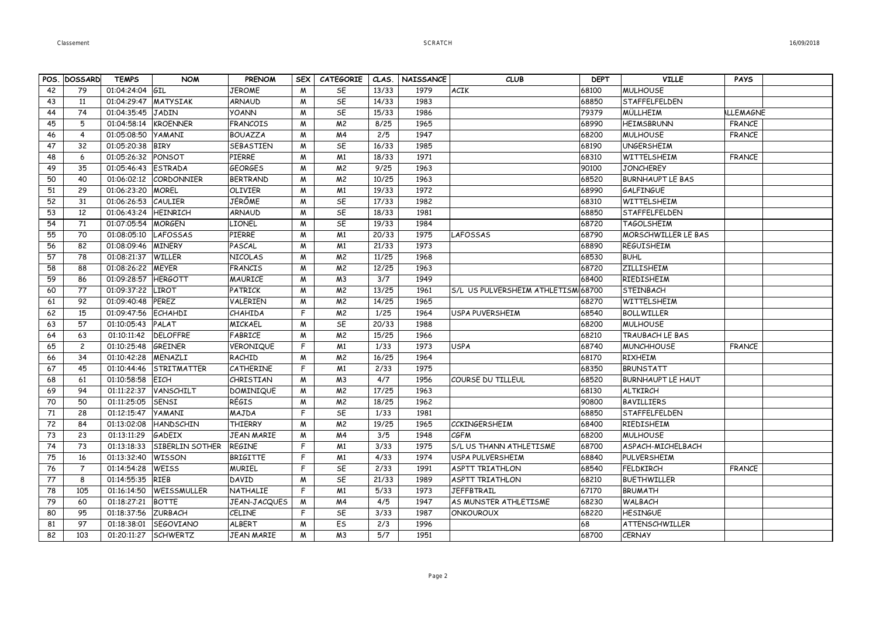|  |  | 16/09/2018 |  |
|--|--|------------|--|
|  |  |            |  |

|    | POS. DOSSARD    | <b>TEMPS</b>    | <b>NOM</b>           | <b>PRENOM</b>     | SEX <sup>1</sup> | <b>CATEGORIE</b> | CLAS. | <b>NAISSANCE</b> | <b>CLUB</b>                        | <b>DEPT</b> | <b>VILLE</b>               | <b>PAYS</b>      |  |
|----|-----------------|-----------------|----------------------|-------------------|------------------|------------------|-------|------------------|------------------------------------|-------------|----------------------------|------------------|--|
| 42 | 79              | 01:04:24:04 GIL |                      | <b>JEROME</b>     | M                | SE               | 13/33 | 1979             | <b>ACIK</b>                        | 68100       | MULHOUSE                   |                  |  |
| 43 | 11              | 01:04:29:47     | <b>MATYSIAK</b>      | <b>ARNAUD</b>     | M                | SE               | 14/33 | 1983             |                                    | 68850       | STAFFELFELDEN              |                  |  |
| 44 | 74              | 01:04:35:45     | <b>JADIN</b>         | <b>YOANN</b>      | M                | SE               | 15/33 | 1986             |                                    | 79379       | <b>MÜLLHEIM</b>            | <b>ILLEMAGNE</b> |  |
| 45 | 5               | 01:04:58:14     | <b>KROENNER</b>      | <b>FRANCOIS</b>   | M                | M <sup>2</sup>   | 8/25  | 1965             |                                    | 68990       | <b>HEIMSBRUNN</b>          | <b>FRANCE</b>    |  |
| 46 | $\overline{4}$  | 01:05:08:50     | <b>YAMANI</b>        | <b>BOUAZZA</b>    | M                | M <sub>4</sub>   | 2/5   | 1947             |                                    | 68200       | <b>MULHOUSE</b>            | <b>FRANCE</b>    |  |
| 47 | 32              | 01:05:20:38     | <b>BIRY</b>          | SEBASTIEN         | M                | SE               | 16/33 | 1985             |                                    | 68190       | <b>UNGERSHEIM</b>          |                  |  |
| 48 | 6               | 01:05:26:32     | PONSOT               | PIERRE            | M                | M <sub>1</sub>   | 18/33 | 1971             |                                    | 68310       | WITTELSHEIM                | <b>FRANCE</b>    |  |
| 49 | 35              | 01:05:46:43     | <b>ESTRADA</b>       | <b>GEORGES</b>    | M                | M <sup>2</sup>   | 9/25  | 1963             |                                    | 90100       | <b>JONCHEREY</b>           |                  |  |
| 50 | 40              | 01:06:02:12     | CORDONNIER           | <b>BERTRAND</b>   | M                | M <sup>2</sup>   | 10/25 | 1963             |                                    | 68520       | <b>BURNHAUPT LE BAS</b>    |                  |  |
| 51 | 29              | 01:06:23:20     | <b>MOREL</b>         | <b>OLIVIER</b>    | M                | M <sub>1</sub>   | 19/33 | 1972             |                                    | 68990       | <b>GALFINGUE</b>           |                  |  |
| 52 | 31              | 01:06:26:53     | CAULIER              | JÉRÔME            | M                | SE               | 17/33 | 1982             |                                    | 68310       | <b>WITTELSHEIM</b>         |                  |  |
| 53 | 12              | 01:06:43:24     | HEINRICH             | <b>ARNAUD</b>     | M                | SE               | 18/33 | 1981             |                                    | 68850       | STAFFELFELDEN              |                  |  |
| 54 | 71              | 01:07:05:54     | <b>MORGEN</b>        | LIONEL            | M                | SE               | 19/33 | 1984             |                                    | 68720       | <b>TAGOLSHEIM</b>          |                  |  |
| 55 | 70              | 01:08:05:10     | <b>LAFOSSAS</b>      | PIERRE            | M                | M <sub>1</sub>   | 20/33 | 1975             | LAFOSSAS                           | 68790       | <b>MORSCHWILLER LE BAS</b> |                  |  |
| 56 | 82              | 01:08:09:46     | <b>MINERY</b>        | PASCAL            | M                | M <sub>1</sub>   | 21/33 | 1973             |                                    | 68890       | <b>REGUISHEIM</b>          |                  |  |
| 57 | $\overline{78}$ | 01:08:21:37     | <b>WILLER</b>        | <b>NICOLAS</b>    | M                | M <sup>2</sup>   | 11/25 | 1968             |                                    | 68530       | <b>BUHL</b>                |                  |  |
| 58 | 88              | 01:08:26:22     | <b>MEYER</b>         | <b>FRANCIS</b>    | M                | M <sup>2</sup>   | 12/25 | 1963             |                                    | 68720       | <b>ZILLISHEIM</b>          |                  |  |
| 59 | 86              | 01:09:28:57     | <b>HERGOTT</b>       | <b>MAURICE</b>    | M                | M <sub>3</sub>   | 3/7   | 1949             |                                    | 68400       | RIEDISHEIM                 |                  |  |
| 60 | 77              | 01:09:37:22     | <b>LIROT</b>         | PATRICK           | M                | M <sup>2</sup>   | 13/25 | 1961             | S/L US PULVERSHEIM ATHLETISM 68700 |             | <b>STEINBACH</b>           |                  |  |
| 61 | 92              | 01:09:40:48     | <b>PEREZ</b>         | VALERIEN          | M                | M <sup>2</sup>   | 14/25 | 1965             |                                    | 68270       | WITTELSHEIM                |                  |  |
| 62 | 15              | 01:09:47:56     | <b>ECHAHDI</b>       | <b>CHAHIDA</b>    | F                | M <sup>2</sup>   | 1/25  | 1964             | <b>USPA PUVERSHEIM</b>             | 68540       | <b>BOLLWILLER</b>          |                  |  |
| 63 | 57              | 01:10:05:43     | PALAT                | <b>MICKAEL</b>    | M                | SE               | 20/33 | 1988             |                                    | 68200       | <b>MULHOUSE</b>            |                  |  |
| 64 | 63              | 01:10:11:42     | <b>DELOFFRE</b>      | FABRICE           | M                | M <sup>2</sup>   | 15/25 | 1966             |                                    | 68210       | <b>TRAUBACH LE BAS</b>     |                  |  |
| 65 | $\overline{c}$  | 01:10:25:48     | GREINER              | VERONIQUE         | F                | M <sub>1</sub>   | 1/33  | 1973             | <b>USPA</b>                        | 68740       | <b>MUNCHHOUSE</b>          | <b>FRANCF</b>    |  |
| 66 | 34              | 01:10:42:28     | MENAZLI              | RACHID            | M                | M <sup>2</sup>   | 16/25 | 1964             |                                    | 68170       | <b>RIXHEIM</b>             |                  |  |
| 67 | 45              | 01:10:44:46     | STRITMATTER          | CATHERINE         | F                | M <sub>1</sub>   | 2/33  | 1975             |                                    | 68350       | <b>BRUNSTATT</b>           |                  |  |
| 68 | 61              | 01:10:58:58     | <b>EICH</b>          | CHRISTIAN         | W                | M <sub>3</sub>   | 4/7   | 1956             | COURSE DU TILLEUL                  | 68520       | <b>BURNHAUPT LE HAUT</b>   |                  |  |
| 69 | 94              | 01:11:22:37     | VANSCHILT            | <b>DOMINIQUE</b>  | M                | M <sup>2</sup>   | 17/25 | 1963             |                                    | 68130       | <b>ALTKIRCH</b>            |                  |  |
| 70 | 50              | 01:11:25:05     | SENSI                | RÉGIS             | M                | M <sup>2</sup>   | 18/25 | 1962             |                                    | 90800       | <b>BAVILLIERS</b>          |                  |  |
| 71 | 28              | 01:12:15:47     | <b>YAMANI</b>        | MAJDA             | F                | SE               | 1/33  | 1981             |                                    | 68850       | <b>STAFFELFELDEN</b>       |                  |  |
| 72 | 84              | 01:13:02:08     | <b>HANDSCHIN</b>     | <b>THIERRY</b>    | M                | M <sup>2</sup>   | 19/25 | 1965             | <b>CCKINGERSHEIM</b>               | 68400       | RIEDISHEIM                 |                  |  |
| 73 | 23              | 01:13:11:29     | <b>GADEIX</b>        | <b>JEAN MARIE</b> | M                | M <sub>4</sub>   | 3/5   | 1948             | <b>CGFM</b>                        | 68200       | <b>MULHOUSE</b>            |                  |  |
| 74 | 73              | 01:13:18:33     | SIBERLIN SOTHER      | <b>REGINE</b>     | F                | M <sub>1</sub>   | 3/33  | 1975             | S/L US THANN ATHLETISME            | 68700       | ASPACH-MICHELBACH          |                  |  |
| 75 | 16              | 01:13:32:40     | <b>WISSON</b>        | <b>BRIGITTE</b>   | F                | M <sub>1</sub>   | 4/33  | 1974             | <b>USPA PULVERSHEIM</b>            | 68840       | PULVERSHEIM                |                  |  |
| 76 | $\overline{7}$  | 01:14:54:28     | <b>WEISS</b>         | <b>MURIEL</b>     | F                | SE               | 2/33  | 1991             | <b>ASPTT TRIATHLON</b>             | 68540       | <b>FELDKIRCH</b>           | <b>FRANCE</b>    |  |
| 77 | 8               | 01:14:55:35     | RIEB                 | DAVID             | M                | SE               | 21/33 | 1989             | ASPTT TRIATHLON                    | 68210       | <b>BUETHWILLER</b>         |                  |  |
| 78 | 105             | 01:16:14:50     | WEISSMULLER          | NATHALIE          | F                | M <sub>1</sub>   | 5/33  | 1973             | <b>JEFFBTRAIL</b>                  | 67170       | <b>BRUMATH</b>             |                  |  |
| 79 | 60              | 01:18:27:21     | <b>BOTTE</b>         | JEAN-JACQUES      | M                | M <sub>4</sub>   | 4/5   | 1947             | AS MUNSTER ATHLETISME              | 68230       | <b>WALBACH</b>             |                  |  |
| 80 | 95              | 01:18:37:56     | <b>ZURBACH</b>       | <b>CELINE</b>     | F                | SE               | 3/33  | 1987             | <b>ONKOUROUX</b>                   | 68220       | <b>HESINGUE</b>            |                  |  |
| 81 | 97              | 01:18:38:01     | <b>SEGOVIANO</b>     | ALBERT            | M                | ES               | 2/3   | 1996             |                                    | 68          | ATTENSCHWILLER             |                  |  |
| 82 | 103             |                 | 01:20:11:27 SCHWERTZ | <b>JEAN MARIE</b> | M                | M <sub>3</sub>   | 5/7   | 1951             |                                    | 68700       | <b>CERNAY</b>              |                  |  |
|    |                 |                 |                      |                   |                  |                  |       |                  |                                    |             |                            |                  |  |